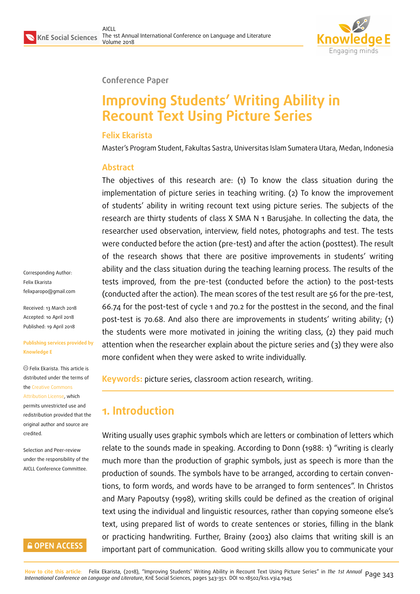

#### **Conference Paper**

# **Improving Students' Writing Ability in Recount Text Using Picture Series**

### **Felix Ekarista**

Master's Program Student, Fakultas Sastra, Universitas Islam Sumatera Utara, Medan, Indonesia

#### **Abstract**

The objectives of this research are: (1) To know the class situation during the implementation of picture series in teaching writing. (2) To know the improvement of students' ability in writing recount text using picture series. The subjects of the research are thirty students of class X SMA N 1 Barusjahe. In collecting the data, the researcher used observation, interview, field notes, photographs and test. The tests were conducted before the action (pre-test) and after the action (posttest). The result of the research shows that there are positive improvements in students' writing ability and the class situation during the teaching learning process. The results of the tests improved, from the pre-test (conducted before the action) to the post-tests (conducted after the action). The mean scores of the test result are 56 for the pre-test, 66.74 for the post-test of cycle 1 and 70.2 for the posttest in the second, and the final post-test is 70.68. And also there are improvements in students' writing ability; (1) the students were more motivated in joining the writing class, (2) they paid much attention when the researcher explain about the picture series and (3) they were also more confident when they were asked to write individually.

**Keywords:** picture series, classroom action research, writing.

## **1. Introduction**

Writing usually uses graphic symbols which are letters or combination of letters which relate to the sounds made in speaking. According to Donn (1988: 1) "writing is clearly much more than the production of graphic symbols, just as speech is more than the production of sounds. The symbols have to be arranged, according to certain conventions, to form words, and words have to be arranged to form sentences". In Christos and Mary Papoutsy (1998), writing skills could be defined as the creation of original text using the individual and linguistic resources, rather than copying someone else's text, using prepared list of words to create sentences or stories, filling in the blank or practicing handwriting. Further, Brainy (2003) also claims that writing skill is an important part of communication. Good writing skills allow you to communicate your

Corresponding Author: Felix Ekarista felixparopo@gmail.com

Received: 13 March 2018 Accepted: 10 April 2018 [Published: 19 April 2018](mailto:felixparopo@gmail.com)

#### **Publishing services provided by Knowledge E**

Felix Ekarista. This article is distributed under the terms of the Creative Commons Attribution License, which permits unrestricted use and redistribution provided that the ori[ginal author and sou](https://creativecommons.org/licenses/by/4.0/)rce are [credited.](https://creativecommons.org/licenses/by/4.0/)

Selection and Peer-review under the responsibility of the AICLL Conference Committee.

### **GOPEN ACCESS**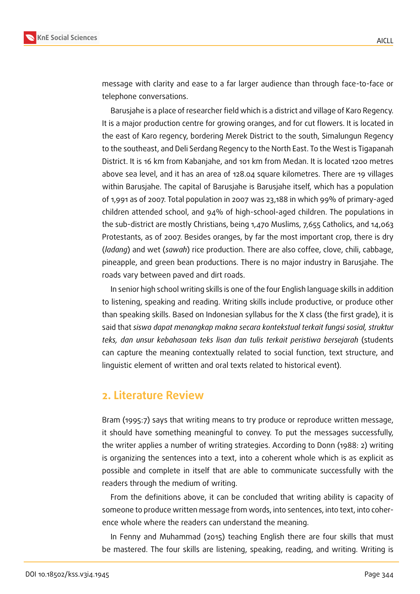

message with clarity and ease to a far larger audience than through face-to-face or telephone conversations.

Barusjahe is a place of researcher field which is a district and village of Karo Regency. It is a major production centre for growing oranges, and for cut flowers. It is located in the east of Karo regency, bordering Merek District to the south, Simalungun Regency to the southeast, and Deli Serdang Regency to the North East. To the West is Tigapanah District. It is 16 km from Kabanjahe, and 101 km from Medan. It is located 1200 metres above sea level, and it has an area of 128.04 square kilometres. There are 19 villages within Barusjahe. The capital of Barusjahe is Barusjahe itself, which has a population of 1,991 as of 2007. Total population in 2007 was 23,188 in which 99% of primary-aged children attended school, and 94% of high-school-aged children. The populations in the sub-district are mostly Christians, being 1,470 Muslims, 7,655 Catholics, and 14,063 Protestants, as of 2007. Besides oranges, by far the most important crop, there is dry (*ladang*) and wet (*sawah*) rice production. There are also coffee, clove, chili, cabbage, pineapple, and green bean productions. There is no major industry in Barusjahe. The roads vary between paved and dirt roads.

In senior high school writing skills is one of the four English language skills in addition to listening, speaking and reading. Writing skills include productive, or produce other than speaking skills. Based on Indonesian syllabus for the X class (the first grade), it is said that *siswa dapat menangkap makna secara kontekstual terkait fungsi sosial, struktur teks, dan unsur kebahasaan teks lisan dan tulis terkait peristiwa bersejarah* (students can capture the meaning contextually related to social function, text structure, and linguistic element of written and oral texts related to historical event).

### **2. Literature Review**

Bram (1995:7) says that writing means to try produce or reproduce written message, it should have something meaningful to convey. To put the messages successfully, the writer applies a number of writing strategies. According to Donn (1988: 2) writing is organizing the sentences into a text, into a coherent whole which is as explicit as possible and complete in itself that are able to communicate successfully with the readers through the medium of writing.

From the definitions above, it can be concluded that writing ability is capacity of someone to produce written message from words, into sentences, into text, into coherence whole where the readers can understand the meaning.

In Fenny and Muhammad (2015) teaching English there are four skills that must be mastered. The four skills are listening, speaking, reading, and writing. Writing is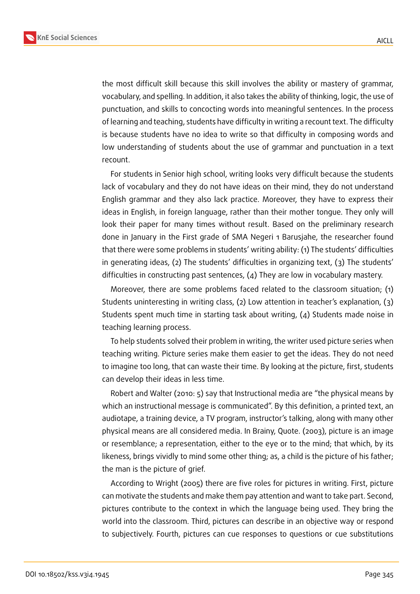

the most difficult skill because this skill involves the ability or mastery of grammar, vocabulary, and spelling. In addition, it also takes the ability of thinking, logic, the use of punctuation, and skills to concocting words into meaningful sentences. In the process of learning and teaching, students have difficulty in writing a recount text. The difficulty is because students have no idea to write so that difficulty in composing words and low understanding of students about the use of grammar and punctuation in a text recount.

For students in Senior high school, writing looks very difficult because the students lack of vocabulary and they do not have ideas on their mind, they do not understand English grammar and they also lack practice. Moreover, they have to express their ideas in English, in foreign language, rather than their mother tongue. They only will look their paper for many times without result. Based on the preliminary research done in January in the First grade of SMA Negeri 1 Barusjahe, the researcher found that there were some problems in students' writing ability: (1) The students' difficulties in generating ideas, (2) The students' difficulties in organizing text, (3) The students' difficulties in constructing past sentences, (4) They are low in vocabulary mastery.

Moreover, there are some problems faced related to the classroom situation; (1) Students uninteresting in writing class, (2) Low attention in teacher's explanation, (3) Students spent much time in starting task about writing, (4) Students made noise in teaching learning process.

To help students solved their problem in writing, the writer used picture series when teaching writing. Picture series make them easier to get the ideas. They do not need to imagine too long, that can waste their time. By looking at the picture, first, students can develop their ideas in less time.

Robert and Walter (2010: 5) say that Instructional media are "the physical means by which an instructional message is communicated". By this definition, a printed text, an audiotape, a training device, a TV program, instructor's talking, along with many other physical means are all considered media. In Brainy, Quote. (2003), picture is an image or resemblance; a representation, either to the eye or to the mind; that which, by its likeness, brings vividly to mind some other thing; as, a child is the picture of his father; the man is the picture of grief.

According to Wright (2005) there are five roles for pictures in writing. First, picture can motivate the students and make them pay attention and want to take part. Second, pictures contribute to the context in which the language being used. They bring the world into the classroom. Third, pictures can describe in an objective way or respond to subjectively. Fourth, pictures can cue responses to questions or cue substitutions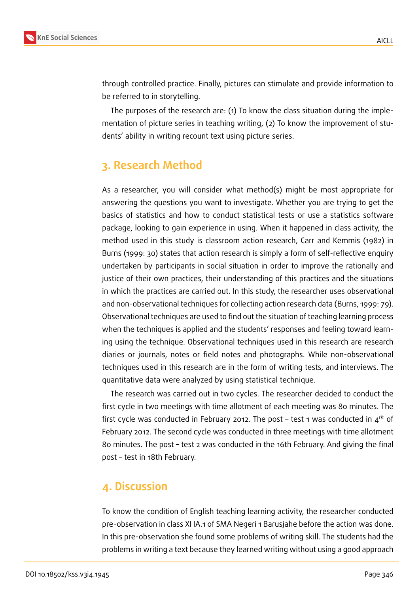

through controlled practice. Finally, pictures can stimulate and provide information to be referred to in storytelling.

The purposes of the research are: (1) To know the class situation during the implementation of picture series in teaching writing, (2) To know the improvement of students' ability in writing recount text using picture series.

## **3. Research Method**

As a researcher, you will consider what method(s) might be most appropriate for answering the questions you want to investigate. Whether you are trying to get the basics of statistics and how to conduct statistical tests or use a statistics software package, looking to gain experience in using. When it happened in class activity, the method used in this study is classroom action research, Carr and Kemmis (1982) in Burns (1999: 30) states that action research is simply a form of self-reflective enquiry undertaken by participants in social situation in order to improve the rationally and justice of their own practices, their understanding of this practices and the situations in which the practices are carried out. In this study, the researcher uses observational and non-observational techniques for collecting action research data (Burns, 1999: 79). Observational techniques are used to find out the situation of teaching learning process when the techniques is applied and the students' responses and feeling toward learning using the technique. Observational techniques used in this research are research diaries or journals, notes or field notes and photographs. While non-observational techniques used in this research are in the form of writing tests, and interviews. The quantitative data were analyzed by using statistical technique.

The research was carried out in two cycles. The researcher decided to conduct the first cycle in two meetings with time allotment of each meeting was 80 minutes. The first cycle was conducted in February 2012. The post - test 1 was conducted in  $4^{th}$  of February 2012. The second cycle was conducted in three meetings with time allotment 80 minutes. The post – test 2 was conducted in the 16th February. And giving the final post – test in 18th February.

### **4. Discussion**

To know the condition of English teaching learning activity, the researcher conducted pre-observation in class XI IA.1 of SMA Negeri 1 Barusjahe before the action was done. In this pre-observation she found some problems of writing skill. The students had the problems in writing a text because they learned writing without using a good approach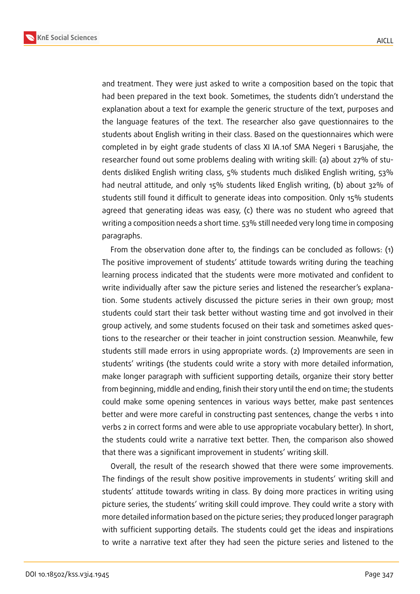

and treatment. They were just asked to write a composition based on the topic that had been prepared in the text book. Sometimes, the students didn't understand the explanation about a text for example the generic structure of the text, purposes and the language features of the text. The researcher also gave questionnaires to the students about English writing in their class. Based on the questionnaires which were completed in by eight grade students of class XI IA.1of SMA Negeri 1 Barusjahe, the researcher found out some problems dealing with writing skill: (a) about 27% of students disliked English writing class, 5% students much disliked English writing, 53% had neutral attitude, and only 15% students liked English writing, (b) about 32% of students still found it difficult to generate ideas into composition. Only 15% students agreed that generating ideas was easy, (c) there was no student who agreed that writing a composition needs a short time. 53% still needed very long time in composing paragraphs.

From the observation done after to, the findings can be concluded as follows: (1) The positive improvement of students' attitude towards writing during the teaching learning process indicated that the students were more motivated and confident to write individually after saw the picture series and listened the researcher's explanation. Some students actively discussed the picture series in their own group; most students could start their task better without wasting time and got involved in their group actively, and some students focused on their task and sometimes asked questions to the researcher or their teacher in joint construction session. Meanwhile, few students still made errors in using appropriate words. (2) Improvements are seen in students' writings (the students could write a story with more detailed information, make longer paragraph with sufficient supporting details, organize their story better from beginning, middle and ending, finish their story until the end on time; the students could make some opening sentences in various ways better, make past sentences better and were more careful in constructing past sentences, change the verbs 1 into verbs 2 in correct forms and were able to use appropriate vocabulary better). In short, the students could write a narrative text better. Then, the comparison also showed that there was a significant improvement in students' writing skill.

Overall, the result of the research showed that there were some improvements. The findings of the result show positive improvements in students' writing skill and students' attitude towards writing in class. By doing more practices in writing using picture series, the students' writing skill could improve. They could write a story with more detailed information based on the picture series; they produced longer paragraph with sufficient supporting details. The students could get the ideas and inspirations to write a narrative text after they had seen the picture series and listened to the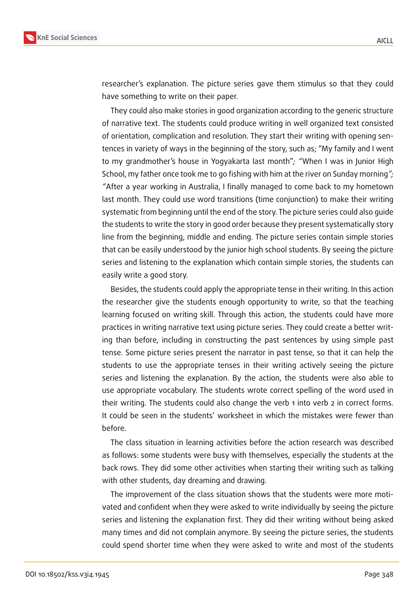

researcher's explanation. The picture series gave them stimulus so that they could have something to write on their paper.

They could also make stories in good organization according to the generic structure of narrative text. The students could produce writing in well organized text consisted of orientation, complication and resolution. They start their writing with opening sentences in variety of ways in the beginning of the story, such as; "My family and I went to my grandmother's house in Yogyakarta last month"*; "*When I was in Junior High School, my father once took me to go fishing with him at the river on Sunday morning*"; "*After a year working in Australia, I finally managed to come back to my hometown last month. They could use word transitions (time conjunction) to make their writing systematic from beginning until the end of the story. The picture series could also guide the students to write the story in good order because they present systematically story line from the beginning, middle and ending. The picture series contain simple stories that can be easily understood by the junior high school students. By seeing the picture series and listening to the explanation which contain simple stories, the students can easily write a good story.

Besides, the students could apply the appropriate tense in their writing. In this action the researcher give the students enough opportunity to write, so that the teaching learning focused on writing skill. Through this action, the students could have more practices in writing narrative text using picture series. They could create a better writing than before, including in constructing the past sentences by using simple past tense. Some picture series present the narrator in past tense, so that it can help the students to use the appropriate tenses in their writing actively seeing the picture series and listening the explanation. By the action, the students were also able to use appropriate vocabulary. The students wrote correct spelling of the word used in their writing. The students could also change the verb 1 into verb 2 in correct forms. It could be seen in the students' worksheet in which the mistakes were fewer than before.

The class situation in learning activities before the action research was described as follows: some students were busy with themselves, especially the students at the back rows. They did some other activities when starting their writing such as talking with other students, day dreaming and drawing.

The improvement of the class situation shows that the students were more motivated and confident when they were asked to write individually by seeing the picture series and listening the explanation first. They did their writing without being asked many times and did not complain anymore. By seeing the picture series, the students could spend shorter time when they were asked to write and most of the students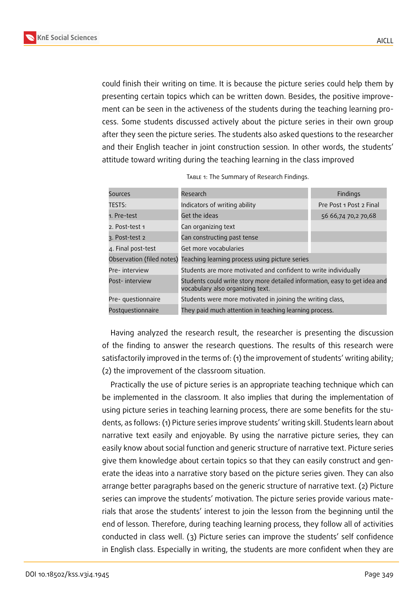

could finish their writing on time. It is because the picture series could help them by presenting certain topics which can be written down. Besides, the positive improvement can be seen in the activeness of the students during the teaching learning process. Some students discussed actively about the picture series in their own group after they seen the picture series. The students also asked questions to the researcher and their English teacher in joint construction session. In other words, the students' attitude toward writing during the teaching learning in the class improved

| Sources                   | Research                                                                                                       | Findings                |
|---------------------------|----------------------------------------------------------------------------------------------------------------|-------------------------|
| TESTS:                    | Indicators of writing ability                                                                                  | Pre Post 1 Post 2 Final |
| 1. Pre-test               | Get the ideas                                                                                                  | 56 66,74 70,2 70,68     |
| 2. Post-test 1            | Can organizing text                                                                                            |                         |
| 3. Post-test 2            | Can constructing past tense                                                                                    |                         |
| 4. Final post-test        | Get more vocabularies                                                                                          |                         |
| Observation (filed notes) | Teaching learning process using picture series                                                                 |                         |
| Pre-interview             | Students are more motivated and confident to write individually                                                |                         |
| Post-interview            | Students could write story more detailed information, easy to get idea and<br>vocabulary also organizing text. |                         |
| Pre- questionnaire        | Students were more motivated in joining the writing class,                                                     |                         |
| Postguestionnaire         | They paid much attention in teaching learning process.                                                         |                         |

| TABLE 1: The Summary of Research Findings. |  |
|--------------------------------------------|--|
|--------------------------------------------|--|

Having analyzed the research result, the researcher is presenting the discussion of the finding to answer the research questions. The results of this research were satisfactorily improved in the terms of: (1) the improvement of students' writing ability; (2) the improvement of the classroom situation.

Practically the use of picture series is an appropriate teaching technique which can be implemented in the classroom. It also implies that during the implementation of using picture series in teaching learning process, there are some benefits for the students, as follows: (1) Picture series improve students' writing skill. Students learn about narrative text easily and enjoyable. By using the narrative picture series, they can easily know about social function and generic structure of narrative text. Picture series give them knowledge about certain topics so that they can easily construct and generate the ideas into a narrative story based on the picture series given. They can also arrange better paragraphs based on the generic structure of narrative text. (2) Picture series can improve the students' motivation. The picture series provide various materials that arose the students' interest to join the lesson from the beginning until the end of lesson. Therefore, during teaching learning process, they follow all of activities conducted in class well. (3) Picture series can improve the students' self confidence in English class. Especially in writing, the students are more confident when they are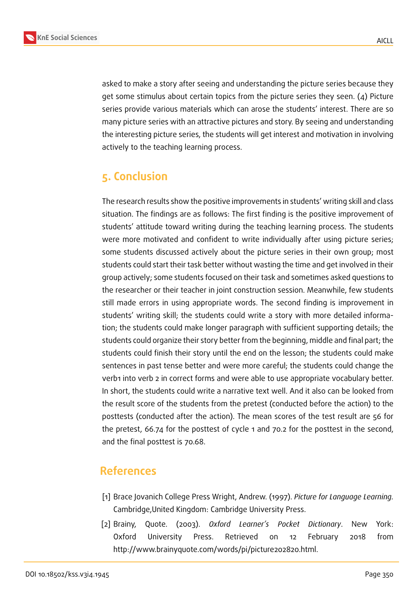

asked to make a story after seeing and understanding the picture series because they get some stimulus about certain topics from the picture series they seen. (4) Picture series provide various materials which can arose the students' interest. There are so many picture series with an attractive pictures and story. By seeing and understanding the interesting picture series, the students will get interest and motivation in involving actively to the teaching learning process.

## **5. Conclusion**

The research results show the positive improvements in students' writing skill and class situation. The findings are as follows: The first finding is the positive improvement of students' attitude toward writing during the teaching learning process. The students were more motivated and confident to write individually after using picture series; some students discussed actively about the picture series in their own group; most students could start their task better without wasting the time and get involved in their group actively; some students focused on their task and sometimes asked questions to the researcher or their teacher in joint construction session. Meanwhile, few students still made errors in using appropriate words. The second finding is improvement in students' writing skill; the students could write a story with more detailed information; the students could make longer paragraph with sufficient supporting details; the students could organize their story better from the beginning, middle and final part; the students could finish their story until the end on the lesson; the students could make sentences in past tense better and were more careful; the students could change the verb1 into verb 2 in correct forms and were able to use appropriate vocabulary better. In short, the students could write a narrative text well. And it also can be looked from the result score of the students from the pretest (conducted before the action) to the posttests (conducted after the action). The mean scores of the test result are 56 for the pretest, 66.74 for the posttest of cycle 1 and 70.2 for the posttest in the second, and the final posttest is 70.68.

## **References**

- [1] Brace Jovanich College Press Wright, Andrew. (1997). *Picture for Language Learning.* Cambridge,United Kingdom: Cambridge University Press.
- [2] Brainy, Quote. (2003). *Oxford Learner's Pocket Dictionary*. New York: Oxford University Press. Retrieved on 12 February 2018 from http://www.brainyquote.com/words/pi/picture202820.html.